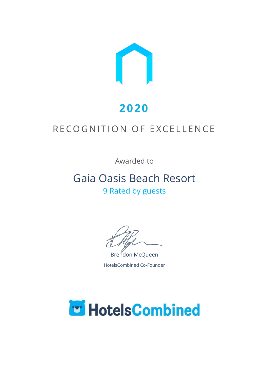

# **2020**

## RECOGNITION OF EXCELLENCE

Awarded to

## Gaia Oasis Beach Resort 9 Rated by guests

Brendon McQueen HotelsCombined Co-Founder